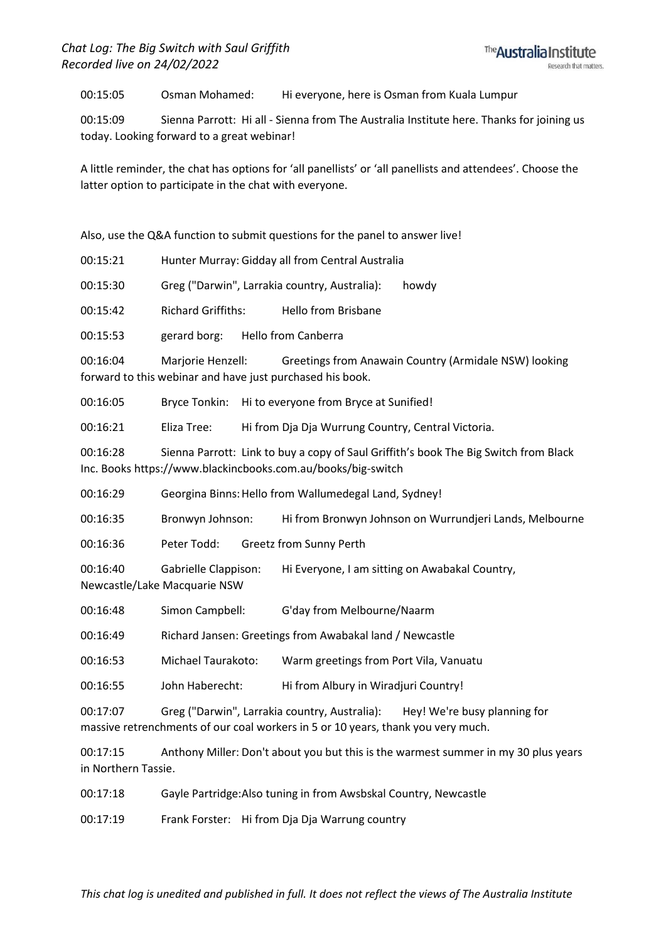00:15:05 Osman Mohamed: Hi everyone, here is Osman from Kuala Lumpur

00:15:09 Sienna Parrott: Hi all - Sienna from The Australia Institute here. Thanks for joining us today. Looking forward to a great webinar!

A little reminder, the chat has options for 'all panellists' or 'all panellists and attendees'. Choose the latter option to participate in the chat with everyone.

Also, use the Q&A function to submit questions for the panel to answer live!

00:15:21 Hunter Murray: Gidday all from Central Australia

00:15:30 Greg ("Darwin", Larrakia country, Australia): howdy

00:15:42 Richard Griffiths: Hello from Brisbane

00:15:53 gerard borg: Hello from Canberra

00:16:04 Marjorie Henzell: Greetings from Anawain Country (Armidale NSW) looking forward to this webinar and have just purchased his book.

00:16:05 Bryce Tonkin: Hi to everyone from Bryce at Sunified!

00:16:21 Eliza Tree: Hi from Dja Dja Wurrung Country, Central Victoria.

00:16:28 Sienna Parrott: Link to buy a copy of Saul Griffith's book The Big Switch from Black Inc. Books https://www.blackincbooks.com.au/books/big-switch

00:16:29 Georgina Binns:Hello from Wallumedegal Land, Sydney!

00:16:35 Bronwyn Johnson: Hi from Bronwyn Johnson on Wurrundjeri Lands, Melbourne

00:16:36 Peter Todd: Greetz from Sunny Perth

00:16:40 Gabrielle Clappison: Hi Everyone, I am sitting on Awabakal Country,

Newcastle/Lake Macquarie NSW

00:16:48 Simon Campbell: G'day from Melbourne/Naarm

00:16:49 Richard Jansen: Greetings from Awabakal land / Newcastle

00:16:53 Michael Taurakoto: Warm greetings from Port Vila, Vanuatu

00:16:55 John Haberecht: Hi from Albury in Wiradjuri Country!

00:17:07 Greg ("Darwin", Larrakia country, Australia): Hey! We're busy planning for massive retrenchments of our coal workers in 5 or 10 years, thank you very much.

00:17:15 Anthony Miller: Don't about you but this is the warmest summer in my 30 plus years in Northern Tassie.

00:17:18 Gayle Partridge:Also tuning in from Awsbskal Country, Newcastle

00:17:19 Frank Forster: Hi from Dja Dja Warrung country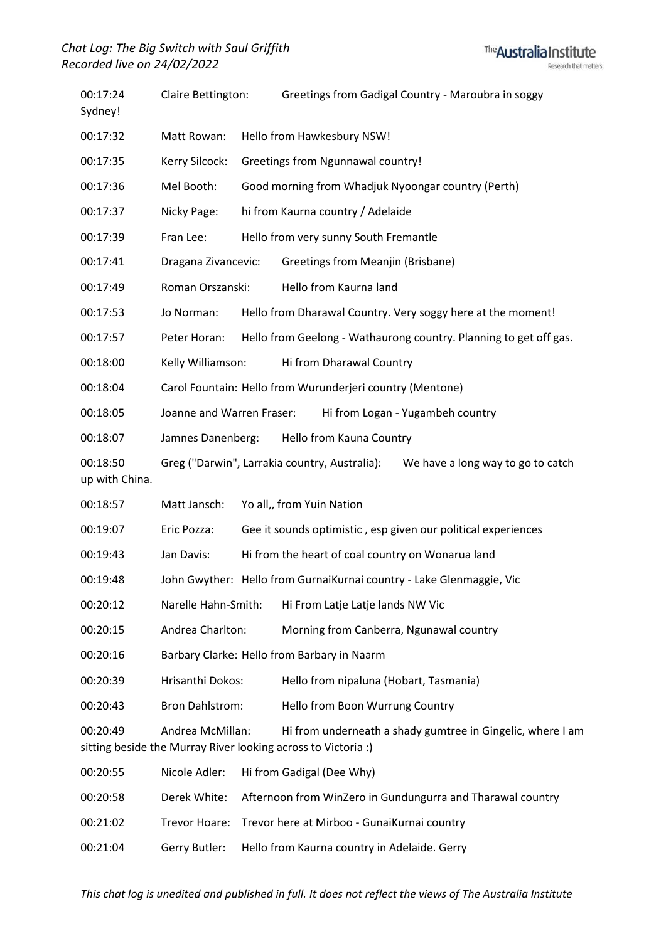## *Chat Log: The Big Switch with Saul Griffith Recorded live on 24/02/2022*



| 00:17:24<br>Sydney!        | Claire Bettington:                                            |  | Greetings from Gadigal Country - Maroubra in soggy                                                                          |
|----------------------------|---------------------------------------------------------------|--|-----------------------------------------------------------------------------------------------------------------------------|
| 00:17:32                   | Matt Rowan:                                                   |  | Hello from Hawkesbury NSW!                                                                                                  |
| 00:17:35                   | Kerry Silcock:                                                |  | <b>Greetings from Ngunnawal country!</b>                                                                                    |
| 00:17:36                   | Mel Booth:                                                    |  | Good morning from Whadjuk Nyoongar country (Perth)                                                                          |
| 00:17:37                   | Nicky Page:                                                   |  | hi from Kaurna country / Adelaide                                                                                           |
| 00:17:39                   | Fran Lee:                                                     |  | Hello from very sunny South Fremantle                                                                                       |
| 00:17:41                   | Dragana Zivancevic:                                           |  | Greetings from Meanjin (Brisbane)                                                                                           |
| 00:17:49                   | Roman Orszanski:                                              |  | Hello from Kaurna land                                                                                                      |
| 00:17:53                   | Jo Norman:                                                    |  | Hello from Dharawal Country. Very soggy here at the moment!                                                                 |
| 00:17:57                   | Peter Horan:                                                  |  | Hello from Geelong - Wathaurong country. Planning to get off gas.                                                           |
| 00:18:00                   | Kelly Williamson:                                             |  | Hi from Dharawal Country                                                                                                    |
| 00:18:04                   | Carol Fountain: Hello from Wurunderjeri country (Mentone)     |  |                                                                                                                             |
| 00:18:05                   | Joanne and Warren Fraser:<br>Hi from Logan - Yugambeh country |  |                                                                                                                             |
| 00:18:07                   | Hello from Kauna Country<br>Jamnes Danenberg:                 |  |                                                                                                                             |
| 00:18:50<br>up with China. |                                                               |  | Greg ("Darwin", Larrakia country, Australia):<br>We have a long way to go to catch                                          |
| 00:18:57                   | Matt Jansch:                                                  |  | Yo all,, from Yuin Nation                                                                                                   |
| 00:19:07                   | Eric Pozza:                                                   |  | Gee it sounds optimistic, esp given our political experiences                                                               |
| 00:19:43                   | Jan Davis:                                                    |  | Hi from the heart of coal country on Wonarua land                                                                           |
| 00:19:48                   |                                                               |  | John Gwyther: Hello from GurnaiKurnai country - Lake Glenmaggie, Vic                                                        |
| 00:20:12                   | Narelle Hahn-Smith:                                           |  | Hi From Latje Latje lands NW Vic                                                                                            |
| 00:20:15                   | Andrea Charlton:                                              |  | Morning from Canberra, Ngunawal country                                                                                     |
| 00:20:16                   | Barbary Clarke: Hello from Barbary in Naarm                   |  |                                                                                                                             |
| 00:20:39                   | Hrisanthi Dokos:                                              |  | Hello from nipaluna (Hobart, Tasmania)                                                                                      |
| 00:20:43                   | <b>Bron Dahlstrom:</b>                                        |  | Hello from Boon Wurrung Country                                                                                             |
| 00:20:49                   | Andrea McMillan:                                              |  | Hi from underneath a shady gumtree in Gingelic, where I am<br>sitting beside the Murray River looking across to Victoria :) |
| 00:20:55                   | Nicole Adler:                                                 |  | Hi from Gadigal (Dee Why)                                                                                                   |
| 00:20:58                   | Derek White:                                                  |  | Afternoon from WinZero in Gundungurra and Tharawal country                                                                  |
| 00:21:02                   | Trevor Hoare:                                                 |  | Trevor here at Mirboo - GunaiKurnai country                                                                                 |
| 00:21:04                   | Gerry Butler:                                                 |  | Hello from Kaurna country in Adelaide. Gerry                                                                                |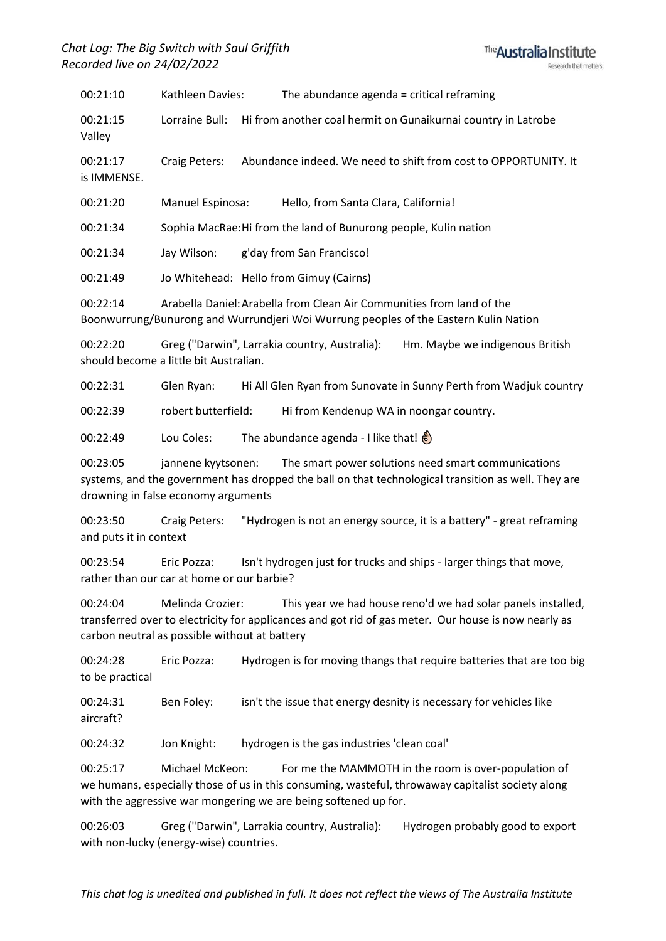*Chat Log: The Big Switch with Saul Griffith Recorded live on 24/02/2022*



00:21:10 Kathleen Davies: The abundance agenda = critical reframing 00:21:15 Lorraine Bull: Hi from another coal hermit on Gunaikurnai country in Latrobe Valley 00:21:17 Craig Peters: Abundance indeed. We need to shift from cost to OPPORTUNITY. It is IMMENSE. 00:21:20 Manuel Espinosa: Hello, from Santa Clara, California!

00:21:34 Sophia MacRae:Hi from the land of Bunurong people, Kulin nation

00:21:34 Jay Wilson: g'day from San Francisco!

00:21:49 Jo Whitehead: Hello from Gimuy (Cairns)

00:22:14 Arabella Daniel:Arabella from Clean Air Communities from land of the Boonwurrung/Bunurong and Wurrundjeri Woi Wurrung peoples of the Eastern Kulin Nation

00:22:20 Greg ("Darwin", Larrakia country, Australia): Hm. Maybe we indigenous British should become a little bit Australian.

00:22:31 Glen Ryan: Hi All Glen Ryan from Sunovate in Sunny Perth from Wadjuk country

00:22:39 robert butterfield: Hi from Kendenup WA in noongar country.

00:22:49 Lou Coles: The abundance agenda - I like that!

00:23:05 jannene kyytsonen: The smart power solutions need smart communications systems, and the government has dropped the ball on that technological transition as well. They are drowning in false economy arguments

00:23:50 Craig Peters: "Hydrogen is not an energy source, it is a battery" - great reframing and puts it in context

00:23:54 Eric Pozza: Isn't hydrogen just for trucks and ships - larger things that move, rather than our car at home or our barbie?

00:24:04 Melinda Crozier: This year we had house reno'd we had solar panels installed, transferred over to electricity for applicances and got rid of gas meter. Our house is now nearly as carbon neutral as possible without at battery

00:24:28 Eric Pozza: Hydrogen is for moving thangs that require batteries that are too big to be practical

00:24:31 Ben Foley: isn't the issue that energy desnity is necessary for vehicles like aircraft?

00:24:32 Jon Knight: hydrogen is the gas industries 'clean coal'

00:25:17 Michael McKeon: For me the MAMMOTH in the room is over-population of we humans, especially those of us in this consuming, wasteful, throwaway capitalist society along with the aggressive war mongering we are being softened up for.

00:26:03 Greg ("Darwin", Larrakia country, Australia): Hydrogen probably good to export with non-lucky (energy-wise) countries.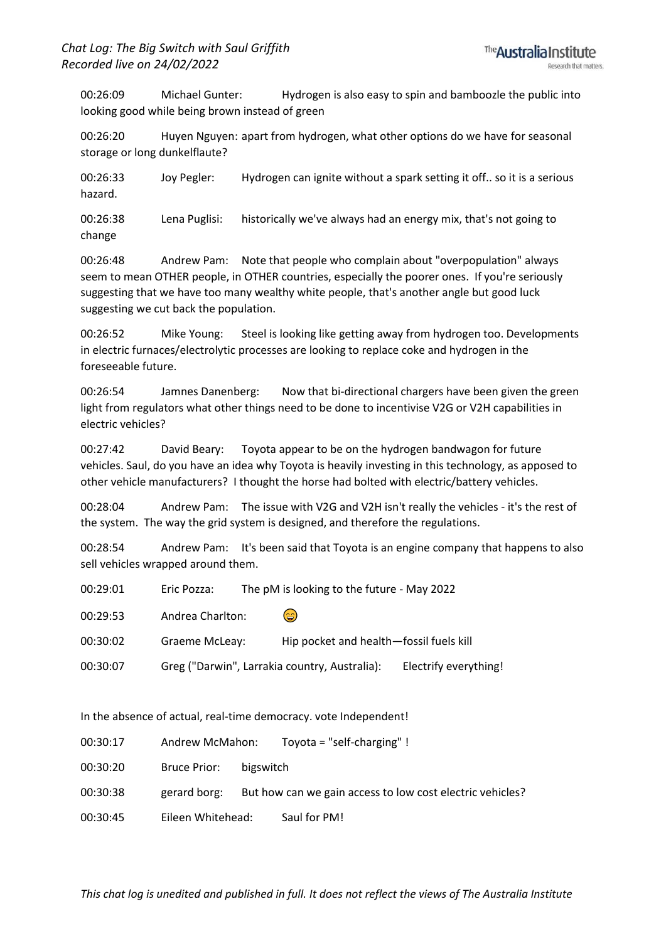00:26:09 Michael Gunter: Hydrogen is also easy to spin and bamboozle the public into looking good while being brown instead of green

00:26:20 Huyen Nguyen: apart from hydrogen, what other options do we have for seasonal storage or long dunkelflaute?

00:26:33 Joy Pegler: Hydrogen can ignite without a spark setting it off.. so it is a serious hazard.

00:26:38 Lena Puglisi: historically we've always had an energy mix, that's not going to change

00:26:48 Andrew Pam: Note that people who complain about "overpopulation" always seem to mean OTHER people, in OTHER countries, especially the poorer ones. If you're seriously suggesting that we have too many wealthy white people, that's another angle but good luck suggesting we cut back the population.

00:26:52 Mike Young: Steel is looking like getting away from hydrogen too. Developments in electric furnaces/electrolytic processes are looking to replace coke and hydrogen in the foreseeable future.

00:26:54 Jamnes Danenberg: Now that bi-directional chargers have been given the green light from regulators what other things need to be done to incentivise V2G or V2H capabilities in electric vehicles?

00:27:42 David Beary: Toyota appear to be on the hydrogen bandwagon for future vehicles. Saul, do you have an idea why Toyota is heavily investing in this technology, as apposed to other vehicle manufacturers? I thought the horse had bolted with electric/battery vehicles.

00:28:04 Andrew Pam: The issue with V2G and V2H isn't really the vehicles - it's the rest of the system. The way the grid system is designed, and therefore the regulations.

00:28:54 Andrew Pam: It's been said that Toyota is an engine company that happens to also sell vehicles wrapped around them.

| 00:29:01 | Eric Pozza:      | The pM is looking to the future - May 2022    |                       |
|----------|------------------|-----------------------------------------------|-----------------------|
| 00:29:53 | Andrea Charlton: | (₩                                            |                       |
| 00:30:02 | Graeme McLeay:   | Hip pocket and health-fossil fuels kill       |                       |
| 00:30:07 |                  | Greg ("Darwin", Larrakia country, Australia): | Electrify everything! |

In the absence of actual, real-time democracy. vote Independent!

| 00:30:17 | Andrew McMahon: | Toyota = "self-charging" ! |
|----------|-----------------|----------------------------|
|----------|-----------------|----------------------------|

00:30:20 Bruce Prior: bigswitch

- 00:30:38 gerard borg: But how can we gain access to low cost electric vehicles?
- 00:30:45 Eileen Whitehead: Saul for PM!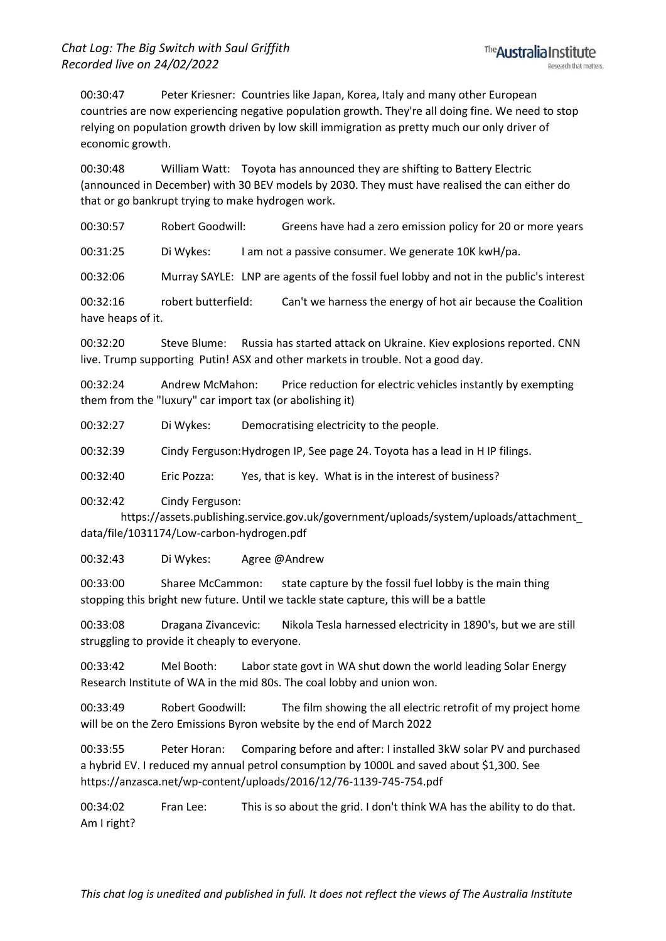00:30:47 Peter Kriesner: Countries like Japan, Korea, Italy and many other European countries are now experiencing negative population growth. They're all doing fine. We need to stop relying on population growth driven by low skill immigration as pretty much our only driver of economic growth.

00:30:48 William Watt: Toyota has announced they are shifting to Battery Electric (announced in December) with 30 BEV models by 2030. They must have realised the can either do that or go bankrupt trying to make hydrogen work.

00:30:57 Robert Goodwill: Greens have had a zero emission policy for 20 or more years

00:31:25 Di Wykes: I am not a passive consumer. We generate 10K kwH/pa.

00:32:06 Murray SAYLE: LNP are agents of the fossil fuel lobby and not in the public's interest

00:32:16 robert butterfield: Can't we harness the energy of hot air because the Coalition have heaps of it.

00:32:20 Steve Blume: Russia has started attack on Ukraine. Kiev explosions reported. CNN live. Trump supporting Putin! ASX and other markets in trouble. Not a good day.

00:32:24 Andrew McMahon: Price reduction for electric vehicles instantly by exempting them from the "luxury" car import tax (or abolishing it)

00:32:27 Di Wykes: Democratising electricity to the people.

00:32:39 Cindy Ferguson:Hydrogen IP, See page 24. Toyota has a lead in H IP filings.

00:32:40 Eric Pozza: Yes, that is key. What is in the interest of business?

00:32:42 Cindy Ferguson:

https://assets.publishing.service.gov.uk/government/uploads/system/uploads/attachment\_ data/file/1031174/Low-carbon-hydrogen.pdf

00:32:43 Di Wykes: Agree @Andrew

00:33:00 Sharee McCammon: state capture by the fossil fuel lobby is the main thing stopping this bright new future. Until we tackle state capture, this will be a battle

00:33:08 Dragana Zivancevic: Nikola Tesla harnessed electricity in 1890's, but we are still struggling to provide it cheaply to everyone.

00:33:42 Mel Booth: Labor state govt in WA shut down the world leading Solar Energy Research Institute of WA in the mid 80s. The coal lobby and union won.

00:33:49 Robert Goodwill: The film showing the all electric retrofit of my project home will be on the Zero Emissions Byron website by the end of March 2022

00:33:55 Peter Horan: Comparing before and after: I installed 3kW solar PV and purchased a hybrid EV. I reduced my annual petrol consumption by 1000L and saved about \$1,300. See https://anzasca.net/wp-content/uploads/2016/12/76-1139-745-754.pdf

00:34:02 Fran Lee: This is so about the grid. I don't think WA has the ability to do that. Am I right?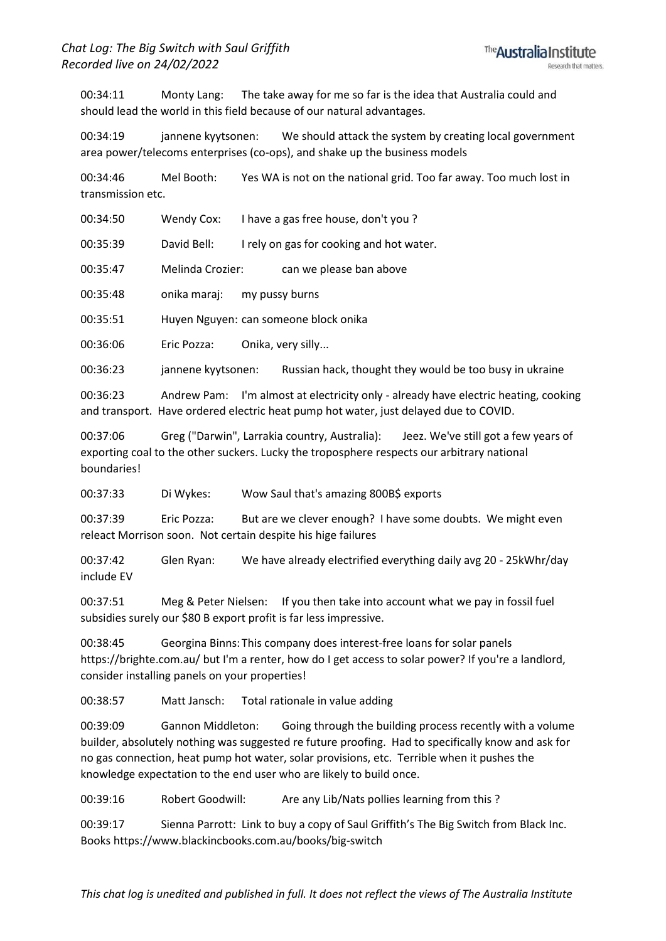00:34:11 Monty Lang: The take away for me so far is the idea that Australia could and should lead the world in this field because of our natural advantages.

00:34:19 jannene kyytsonen: We should attack the system by creating local government area power/telecoms enterprises (co-ops), and shake up the business models

00:34:46 Mel Booth: Yes WA is not on the national grid. Too far away. Too much lost in transmission etc.

00:34:50 Wendy Cox: I have a gas free house, don't you ?

00:35:39 David Bell: I rely on gas for cooking and hot water.

00:35:47 Melinda Crozier: can we please ban above

00:35:48 onika maraj: my pussy burns

00:35:51 Huyen Nguyen: can someone block onika

00:36:06 Eric Pozza: Onika, very silly...

00:36:23 jannene kyytsonen: Russian hack, thought they would be too busy in ukraine

00:36:23 Andrew Pam: I'm almost at electricity only - already have electric heating, cooking and transport. Have ordered electric heat pump hot water, just delayed due to COVID.

00:37:06 Greg ("Darwin", Larrakia country, Australia): Jeez. We've still got a few years of exporting coal to the other suckers. Lucky the troposphere respects our arbitrary national boundaries!

00:37:33 Di Wykes: Wow Saul that's amazing 800B\$ exports

00:37:39 Eric Pozza: But are we clever enough? I have some doubts. We might even releact Morrison soon. Not certain despite his hige failures

00:37:42 Glen Ryan: We have already electrified everything daily avg 20 - 25kWhr/day include EV

00:37:51 Meg & Peter Nielsen: If you then take into account what we pay in fossil fuel subsidies surely our \$80 B export profit is far less impressive.

00:38:45 Georgina Binns: This company does interest-free loans for solar panels https://brighte.com.au/ but I'm a renter, how do I get access to solar power? If you're a landlord, consider installing panels on your properties!

00:38:57 Matt Jansch: Total rationale in value adding

00:39:09 Gannon Middleton: Going through the building process recently with a volume builder, absolutely nothing was suggested re future proofing. Had to specifically know and ask for no gas connection, heat pump hot water, solar provisions, etc. Terrible when it pushes the knowledge expectation to the end user who are likely to build once.

00:39:16 Robert Goodwill: Are any Lib/Nats pollies learning from this ?

00:39:17 Sienna Parrott: Link to buy a copy of Saul Griffith's The Big Switch from Black Inc. Books https://www.blackincbooks.com.au/books/big-switch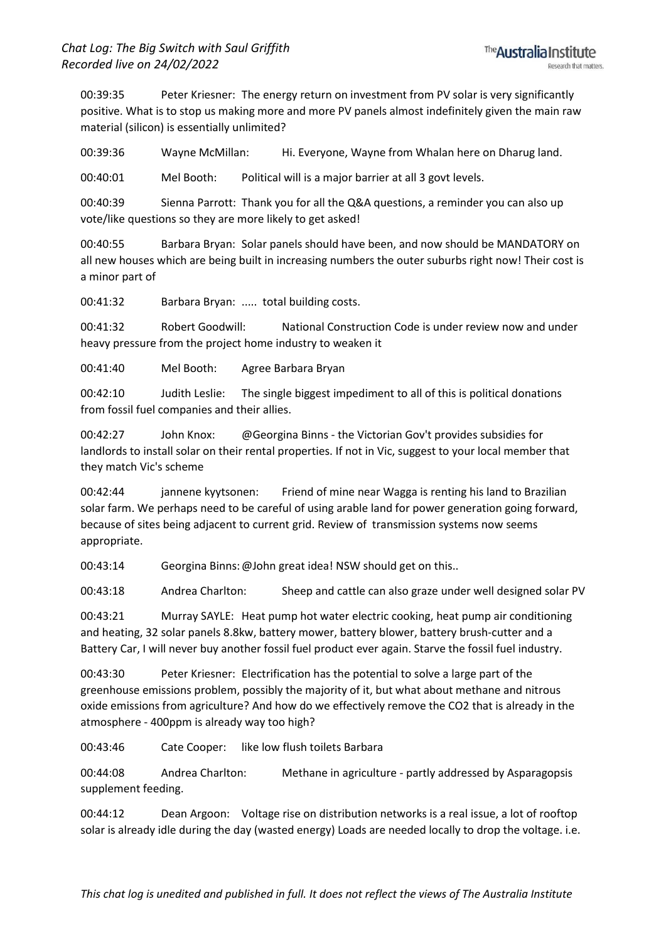00:39:35 Peter Kriesner: The energy return on investment from PV solar is very significantly positive. What is to stop us making more and more PV panels almost indefinitely given the main raw material (silicon) is essentially unlimited?

00:39:36 Wayne McMillan: Hi. Everyone, Wayne from Whalan here on Dharug land.

00:40:01 Mel Booth: Political will is a major barrier at all 3 govt levels.

00:40:39 Sienna Parrott: Thank you for all the Q&A questions, a reminder you can also up vote/like questions so they are more likely to get asked!

00:40:55 Barbara Bryan: Solar panels should have been, and now should be MANDATORY on all new houses which are being built in increasing numbers the outer suburbs right now! Their cost is a minor part of

00:41:32 Barbara Bryan: ..... total building costs.

00:41:32 Robert Goodwill: National Construction Code is under review now and under heavy pressure from the project home industry to weaken it

00:41:40 Mel Booth: Agree Barbara Bryan

00:42:10 Judith Leslie: The single biggest impediment to all of this is political donations from fossil fuel companies and their allies.

00:42:27 John Knox: @Georgina Binns - the Victorian Gov't provides subsidies for landlords to install solar on their rental properties. If not in Vic, suggest to your local member that they match Vic's scheme

00:42:44 jannene kyytsonen: Friend of mine near Wagga is renting his land to Brazilian solar farm. We perhaps need to be careful of using arable land for power generation going forward, because of sites being adjacent to current grid. Review of transmission systems now seems appropriate.

00:43:14 Georgina Binns:@John great idea! NSW should get on this..

00:43:18 Andrea Charlton: Sheep and cattle can also graze under well designed solar PV

00:43:21 Murray SAYLE: Heat pump hot water electric cooking, heat pump air conditioning and heating, 32 solar panels 8.8kw, battery mower, battery blower, battery brush-cutter and a Battery Car, I will never buy another fossil fuel product ever again. Starve the fossil fuel industry.

00:43:30 Peter Kriesner: Electrification has the potential to solve a large part of the greenhouse emissions problem, possibly the majority of it, but what about methane and nitrous oxide emissions from agriculture? And how do we effectively remove the CO2 that is already in the atmosphere - 400ppm is already way too high?

00:43:46 Cate Cooper: like low flush toilets Barbara

00:44:08 Andrea Charlton: Methane in agriculture - partly addressed by Asparagopsis supplement feeding.

00:44:12 Dean Argoon: Voltage rise on distribution networks is a real issue, a lot of rooftop solar is already idle during the day (wasted energy) Loads are needed locally to drop the voltage. i.e.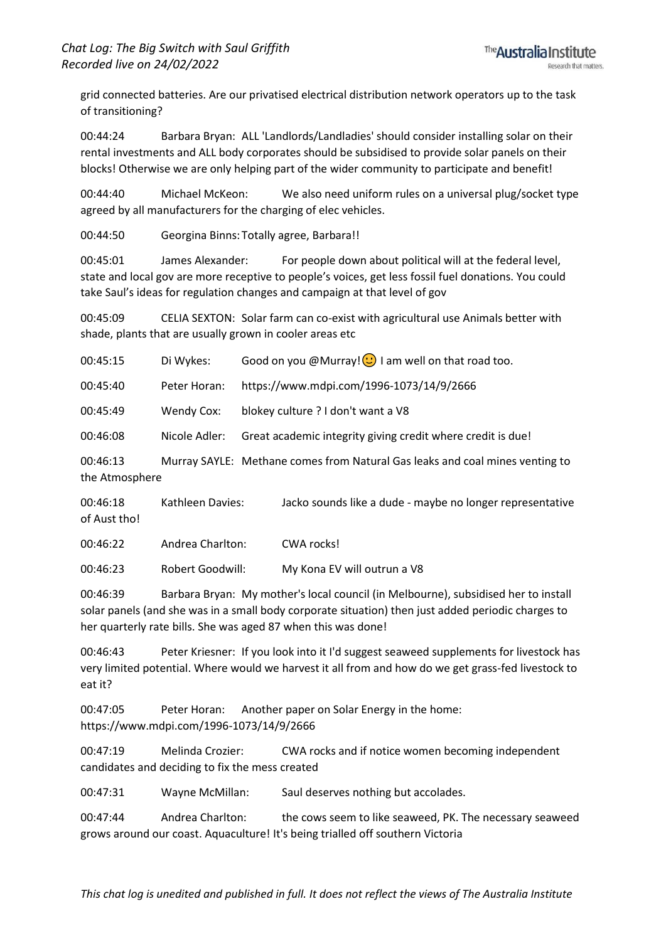grid connected batteries. Are our privatised electrical distribution network operators up to the task of transitioning?

00:44:24 Barbara Bryan: ALL 'Landlords/Landladies' should consider installing solar on their rental investments and ALL body corporates should be subsidised to provide solar panels on their blocks! Otherwise we are only helping part of the wider community to participate and benefit!

00:44:40 Michael McKeon: We also need uniform rules on a universal plug/socket type agreed by all manufacturers for the charging of elec vehicles.

00:44:50 Georgina Binns: Totally agree, Barbara!!

00:45:01 James Alexander: For people down about political will at the federal level, state and local gov are more receptive to people's voices, get less fossil fuel donations. You could take Saul's ideas for regulation changes and campaign at that level of gov

00:45:09 CELIA SEXTON: Solar farm can co-exist with agricultural use Animals better with shade, plants that are usually grown in cooler areas etc

| 00:45:15                   | Di Wykes:               | Good on you @Murray! $\odot$ I am well on that road too.                     |
|----------------------------|-------------------------|------------------------------------------------------------------------------|
| 00:45:40                   | Peter Horan:            | https://www.mdpi.com/1996-1073/14/9/2666                                     |
| 00:45:49                   | Wendy Cox:              | blokey culture ? I don't want a V8                                           |
| 00:46:08                   | Nicole Adler:           | Great academic integrity giving credit where credit is due!                  |
| 00:46:13<br>the Atmosphere |                         | Murray SAYLE: Methane comes from Natural Gas leaks and coal mines venting to |
| 00:46:18<br>of Aust tho!   | <b>Kathleen Davies:</b> | Jacko sounds like a dude - maybe no longer representative                    |

00:46:22 Andrea Charlton: CWA rocks!

00:46:23 Robert Goodwill: My Kona EV will outrun a V8

00:46:39 Barbara Bryan: My mother's local council (in Melbourne), subsidised her to install solar panels (and she was in a small body corporate situation) then just added periodic charges to her quarterly rate bills. She was aged 87 when this was done!

00:46:43 Peter Kriesner: If you look into it I'd suggest seaweed supplements for livestock has very limited potential. Where would we harvest it all from and how do we get grass-fed livestock to eat it?

00:47:05 Peter Horan: Another paper on Solar Energy in the home: https://www.mdpi.com/1996-1073/14/9/2666

00:47:19 Melinda Crozier: CWA rocks and if notice women becoming independent candidates and deciding to fix the mess created

00:47:31 Wayne McMillan: Saul deserves nothing but accolades.

00:47:44 Andrea Charlton: the cows seem to like seaweed, PK. The necessary seaweed grows around our coast. Aquaculture! It's being trialled off southern Victoria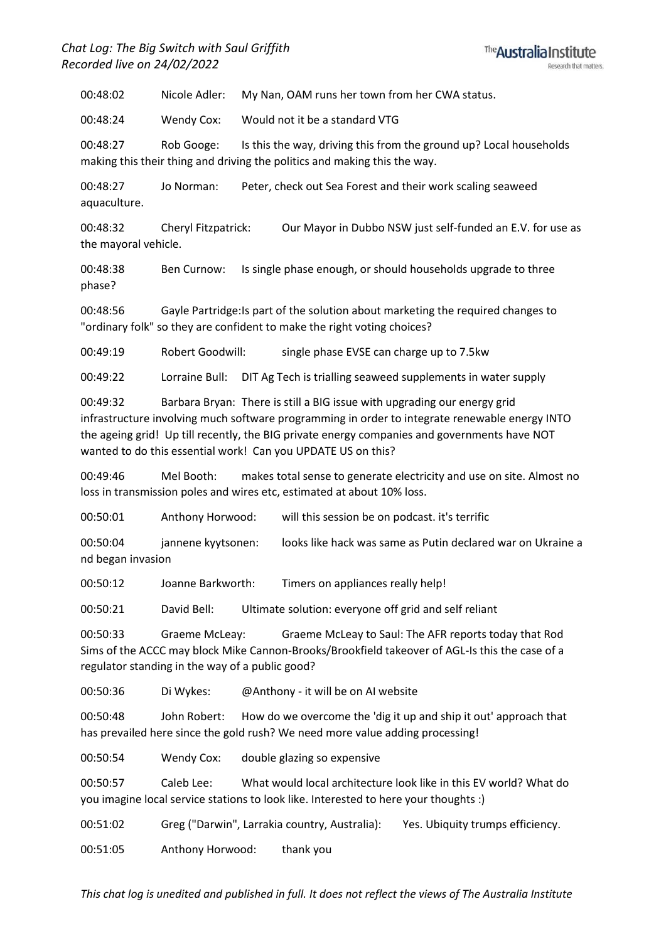## *Chat Log: The Big Switch with Saul Griffith Recorded live on 24/02/2022*



00:48:02 Nicole Adler: My Nan, OAM runs her town from her CWA status.

00:48:24 Wendy Cox: Would not it be a standard VTG

00:48:27 Rob Googe: Is this the way, driving this from the ground up? Local households making this their thing and driving the politics and making this the way.

00:48:27 Jo Norman: Peter, check out Sea Forest and their work scaling seaweed aquaculture.

00:48:32 Cheryl Fitzpatrick: Our Mayor in Dubbo NSW just self-funded an E.V. for use as the mayoral vehicle.

00:48:38 Ben Curnow: Is single phase enough, or should households upgrade to three phase?

00:48:56 Gayle Partridge:Is part of the solution about marketing the required changes to "ordinary folk" so they are confident to make the right voting choices?

00:49:19 Robert Goodwill: single phase EVSE can charge up to 7.5kw

00:49:22 Lorraine Bull: DIT Ag Tech is trialling seaweed supplements in water supply

00:49:32 Barbara Bryan: There is still a BIG issue with upgrading our energy grid infrastructure involving much software programming in order to integrate renewable energy INTO the ageing grid! Up till recently, the BIG private energy companies and governments have NOT wanted to do this essential work! Can you UPDATE US on this?

00:49:46 Mel Booth: makes total sense to generate electricity and use on site. Almost no loss in transmission poles and wires etc, estimated at about 10% loss.

00:50:01 Anthony Horwood: will this session be on podcast. it's terrific

00:50:04 jannene kyytsonen: looks like hack was same as Putin declared war on Ukraine a nd began invasion

00:50:12 Joanne Barkworth: Timers on appliances really help!

00:50:21 David Bell: Ultimate solution: everyone off grid and self reliant

00:50:33 Graeme McLeay: Graeme McLeay to Saul: The AFR reports today that Rod Sims of the ACCC may block Mike Cannon-Brooks/Brookfield takeover of AGL-Is this the case of a regulator standing in the way of a public good?

00:50:36 Di Wykes: @Anthony - it will be on AI website

00:50:48 John Robert: How do we overcome the 'dig it up and ship it out' approach that has prevailed here since the gold rush? We need more value adding processing!

00:50:54 Wendy Cox: double glazing so expensive

00:50:57 Caleb Lee: What would local architecture look like in this EV world? What do you imagine local service stations to look like. Interested to here your thoughts :)

00:51:02 Greg ("Darwin", Larrakia country, Australia): Yes. Ubiquity trumps efficiency.

00:51:05 Anthony Horwood: thank you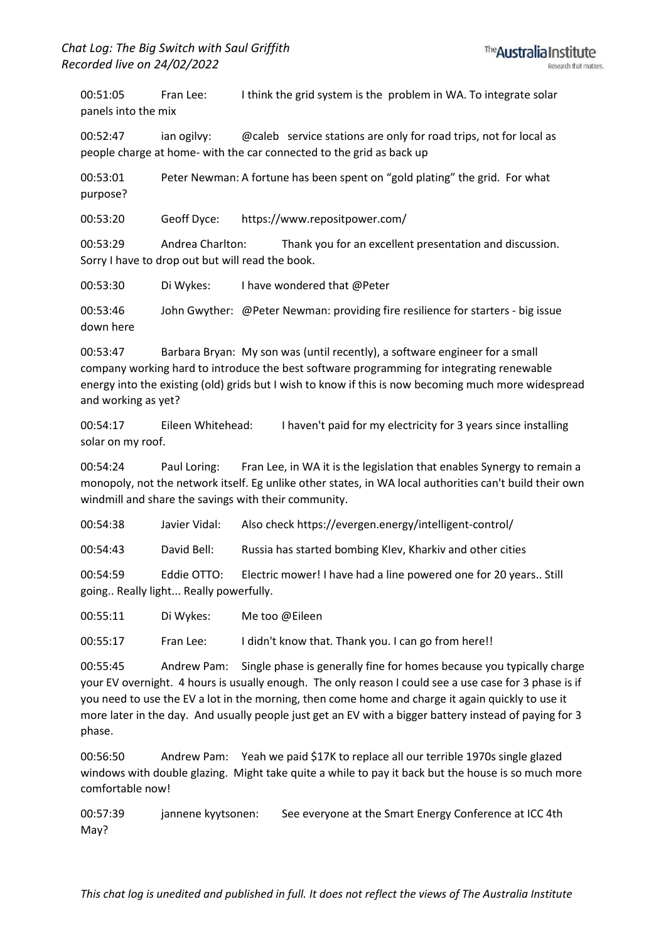00:51:05 Fran Lee: I think the grid system is the problem in WA. To integrate solar panels into the mix

00:52:47 ian ogilvy: @caleb service stations are only for road trips, not for local as people charge at home- with the car connected to the grid as back up

00:53:01 Peter Newman: A fortune has been spent on "gold plating" the grid. For what purpose?

00:53:20 Geoff Dyce: https://www.repositpower.com/

00:53:29 Andrea Charlton: Thank you for an excellent presentation and discussion. Sorry I have to drop out but will read the book.

00:53:30 Di Wykes: I have wondered that @Peter

00:53:46 John Gwyther: @Peter Newman: providing fire resilience for starters - big issue down here

00:53:47 Barbara Bryan: My son was (until recently), a software engineer for a small company working hard to introduce the best software programming for integrating renewable energy into the existing (old) grids but I wish to know if this is now becoming much more widespread and working as yet?

00:54:17 Eileen Whitehead: I haven't paid for my electricity for 3 years since installing solar on my roof.

00:54:24 Paul Loring: Fran Lee, in WA it is the legislation that enables Synergy to remain a monopoly, not the network itself. Eg unlike other states, in WA local authorities can't build their own windmill and share the savings with their community.

00:54:38 Javier Vidal: Also check https://evergen.energy/intelligent-control/

00:54:43 David Bell: Russia has started bombing KIev, Kharkiv and other cities

00:54:59 Eddie OTTO: Electric mower! I have had a line powered one for 20 years.. Still going.. Really light... Really powerfully.

00:55:11 Di Wykes: Me too @Eileen

00:55:17 Fran Lee: I didn't know that. Thank you. I can go from here!!

00:55:45 Andrew Pam: Single phase is generally fine for homes because you typically charge your EV overnight. 4 hours is usually enough. The only reason I could see a use case for 3 phase is if you need to use the EV a lot in the morning, then come home and charge it again quickly to use it more later in the day. And usually people just get an EV with a bigger battery instead of paying for 3 phase.

00:56:50 Andrew Pam: Yeah we paid \$17K to replace all our terrible 1970s single glazed windows with double glazing. Might take quite a while to pay it back but the house is so much more comfortable now!

00:57:39 jannene kyytsonen: See everyone at the Smart Energy Conference at ICC 4th May?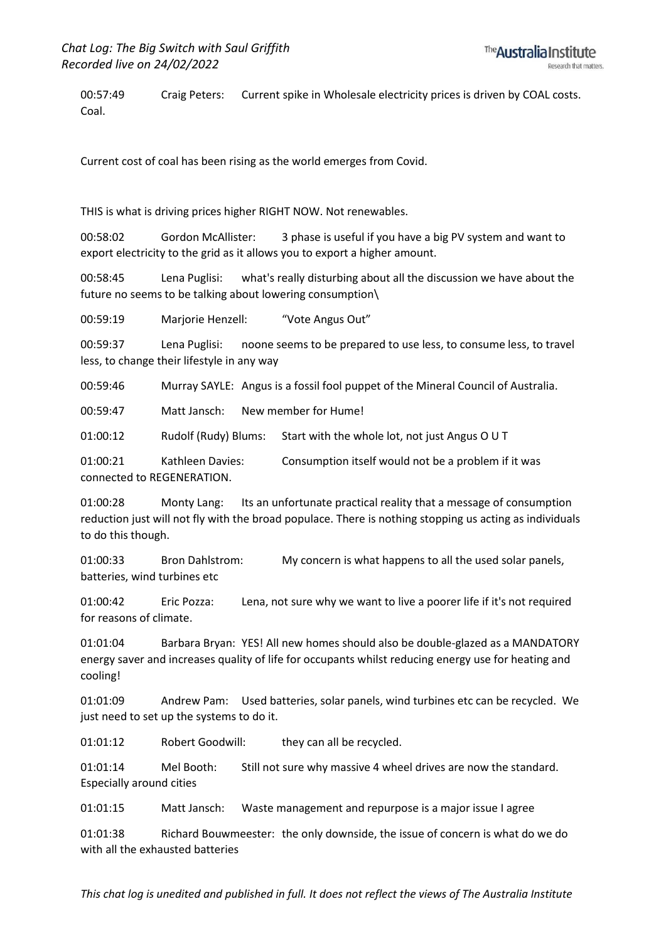00:57:49 Craig Peters: Current spike in Wholesale electricity prices is driven by COAL costs. Coal.

Current cost of coal has been rising as the world emerges from Covid.

THIS is what is driving prices higher RIGHT NOW. Not renewables.

00:58:02 Gordon McAllister: 3 phase is useful if you have a big PV system and want to export electricity to the grid as it allows you to export a higher amount.

00:58:45 Lena Puglisi: what's really disturbing about all the discussion we have about the future no seems to be talking about lowering consumption\

00:59:19 Marjorie Henzell: "Vote Angus Out"

00:59:37 Lena Puglisi: noone seems to be prepared to use less, to consume less, to travel less, to change their lifestyle in any way

00:59:46 Murray SAYLE: Angus is a fossil fool puppet of the Mineral Council of Australia.

00:59:47 Matt Jansch: New member for Hume!

01:00:12 Rudolf (Rudy) Blums: Start with the whole lot, not just Angus O U T

01:00:21 Kathleen Davies: Consumption itself would not be a problem if it was connected to REGENERATION.

01:00:28 Monty Lang: Its an unfortunate practical reality that a message of consumption reduction just will not fly with the broad populace. There is nothing stopping us acting as individuals to do this though.

01:00:33 Bron Dahlstrom: My concern is what happens to all the used solar panels, batteries, wind turbines etc

01:00:42 Eric Pozza: Lena, not sure why we want to live a poorer life if it's not required for reasons of climate.

01:01:04 Barbara Bryan: YES! All new homes should also be double-glazed as a MANDATORY energy saver and increases quality of life for occupants whilst reducing energy use for heating and cooling!

01:01:09 Andrew Pam: Used batteries, solar panels, wind turbines etc can be recycled. We just need to set up the systems to do it.

01:01:12 Robert Goodwill: they can all be recycled.

01:01:14 Mel Booth: Still not sure why massive 4 wheel drives are now the standard. Especially around cities

01:01:15 Matt Jansch: Waste management and repurpose is a major issue I agree

01:01:38 Richard Bouwmeester: the only downside, the issue of concern is what do we do with all the exhausted batteries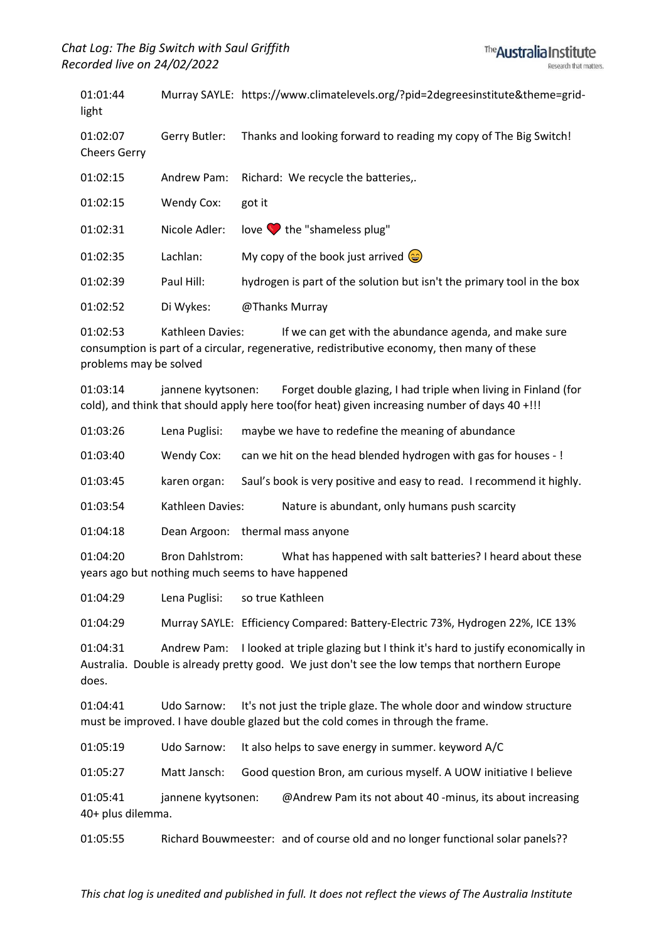01:01:44 Murray SAYLE: https://www.climatelevels.org/?pid=2degreesinstitute&theme=gridlight 01:02:07 Gerry Butler: Thanks and looking forward to reading my copy of The Big Switch! Cheers Gerry 01:02:15 Andrew Pam: Richard: We recycle the batteries,. 01:02:15 Wendy Cox: got it 01:02:31 Nicole Adler: love the "shameless plug" 01:02:35 Lachlan: My copy of the book just arrived  $\circledcirc$ 01:02:39 Paul Hill: hydrogen is part of the solution but isn't the primary tool in the box 01:02:52 Di Wykes: @Thanks Murray

01:02:53 Kathleen Davies: If we can get with the abundance agenda, and make sure consumption is part of a circular, regenerative, redistributive economy, then many of these problems may be solved

01:03:14 jannene kyytsonen: Forget double glazing, I had triple when living in Finland (for cold), and think that should apply here too(for heat) given increasing number of days 40 +!!!

| 01:03:26 | Lena Puglisi: | maybe we have to redefine the meaning of abundance |  |
|----------|---------------|----------------------------------------------------|--|
|----------|---------------|----------------------------------------------------|--|

01:03:40 Wendy Cox: can we hit on the head blended hydrogen with gas for houses - !

01:03:45 karen organ: Saul's book is very positive and easy to read. I recommend it highly.

01:03:54 Kathleen Davies: Nature is abundant, only humans push scarcity

01:04:18 Dean Argoon: thermal mass anyone

01:04:20 Bron Dahlstrom: What has happened with salt batteries? I heard about these years ago but nothing much seems to have happened

01:04:29 Lena Puglisi: so true Kathleen

01:04:29 Murray SAYLE: Efficiency Compared: Battery-Electric 73%, Hydrogen 22%, ICE 13%

01:04:31 Andrew Pam: I looked at triple glazing but I think it's hard to justify economically in Australia. Double is already pretty good. We just don't see the low temps that northern Europe does.

01:04:41 Udo Sarnow: It's not just the triple glaze. The whole door and window structure must be improved. I have double glazed but the cold comes in through the frame.

01:05:19 Udo Sarnow: It also helps to save energy in summer. keyword A/C

01:05:27 Matt Jansch: Good question Bron, am curious myself. A UOW initiative I believe

01:05:41 jannene kyytsonen: @Andrew Pam its not about 40 -minus, its about increasing 40+ plus dilemma.

01:05:55 Richard Bouwmeester: and of course old and no longer functional solar panels??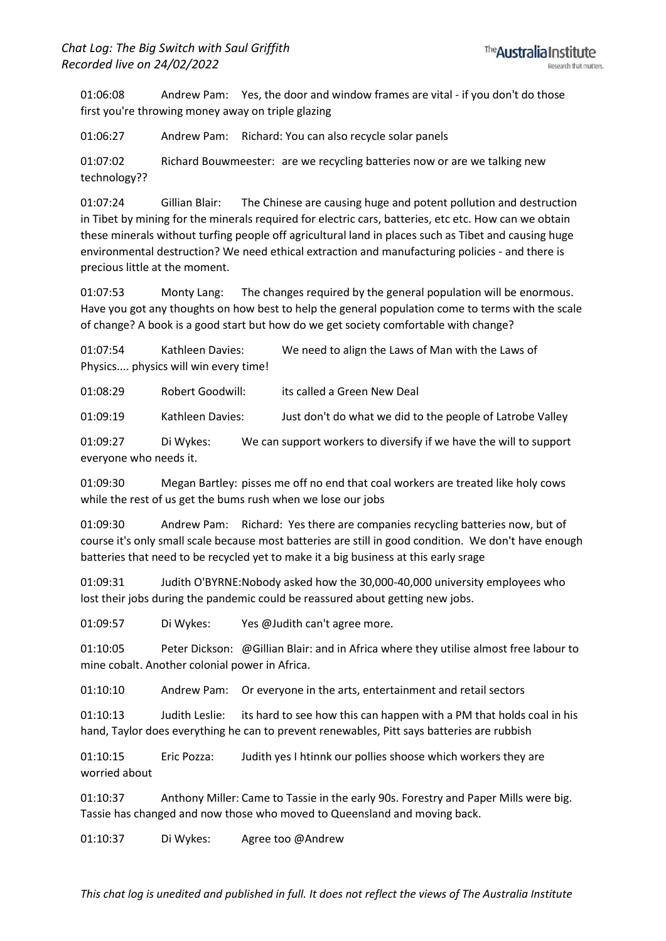01:06:08 Andrew Pam: Yes, the door and window frames are vital - if you don't do those first you're throwing money away on triple glazing

01:06:27 Andrew Pam: Richard: You can also recycle solar panels

01:07:02 Richard Bouwmeester: are we recycling batteries now or are we talking new technology??

01:07:24 Gillian Blair: The Chinese are causing huge and potent pollution and destruction in Tibet by mining for the minerals required for electric cars, batteries, etc etc. How can we obtain these minerals without turfing people off agricultural land in places such as Tibet and causing huge environmental destruction? We need ethical extraction and manufacturing policies - and there is precious little at the moment.

01:07:53 Monty Lang: The changes required by the general population will be enormous. Have you got any thoughts on how best to help the general population come to terms with the scale of change? A book is a good start but how do we get society comfortable with change?

01:07:54 Kathleen Davies: We need to align the Laws of Man with the Laws of Physics.... physics will win every time!

01:08:29 Robert Goodwill: its called a Green New Deal

01:09:19 Kathleen Davies: Just don't do what we did to the people of Latrobe Valley

01:09:27 Di Wykes: We can support workers to diversify if we have the will to support everyone who needs it.

01:09:30 Megan Bartley: pisses me off no end that coal workers are treated like holy cows while the rest of us get the bums rush when we lose our jobs

01:09:30 Andrew Pam: Richard: Yes there are companies recycling batteries now, but of course it's only small scale because most batteries are still in good condition. We don't have enough batteries that need to be recycled yet to make it a big business at this early srage

01:09:31 Judith O'BYRNE:Nobody asked how the 30,000-40,000 university employees who lost their jobs during the pandemic could be reassured about getting new jobs.

01:09:57 Di Wykes: Yes @Judith can't agree more.

01:10:05 Peter Dickson: @Gillian Blair: and in Africa where they utilise almost free labour to mine cobalt. Another colonial power in Africa.

01:10:10 Andrew Pam: Or everyone in the arts, entertainment and retail sectors

01:10:13 Judith Leslie: its hard to see how this can happen with a PM that holds coal in his hand, Taylor does everything he can to prevent renewables, Pitt says batteries are rubbish

01:10:15 Eric Pozza: Judith yes I htinnk our pollies shoose which workers they are worried about

01:10:37 Anthony Miller: Came to Tassie in the early 90s. Forestry and Paper Mills were big. Tassie has changed and now those who moved to Queensland and moving back.

01:10:37 Di Wykes: Agree too @Andrew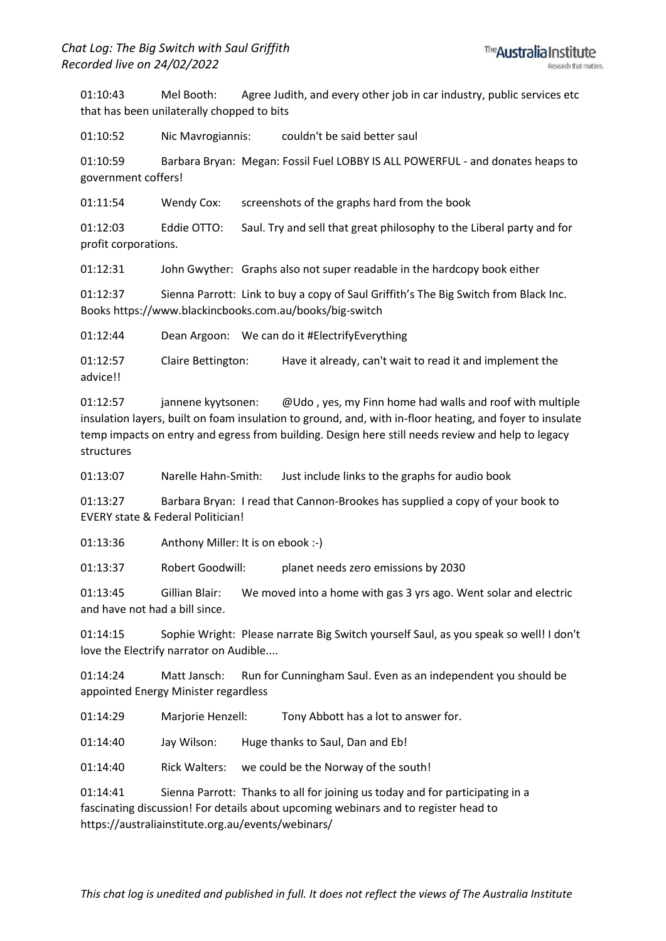01:10:43 Mel Booth: Agree Judith, and every other job in car industry, public services etc that has been unilaterally chopped to bits

01:10:52 Nic Mavrogiannis: couldn't be said better saul

01:10:59 Barbara Bryan: Megan: Fossil Fuel LOBBY IS ALL POWERFUL - and donates heaps to government coffers!

01:11:54 Wendy Cox: screenshots of the graphs hard from the book

01:12:03 Eddie OTTO: Saul. Try and sell that great philosophy to the Liberal party and for profit corporations.

01:12:31 John Gwyther: Graphs also not super readable in the hardcopy book either

01:12:37 Sienna Parrott: Link to buy a copy of Saul Griffith's The Big Switch from Black Inc. Books https://www.blackincbooks.com.au/books/big-switch

01:12:44 Dean Argoon: We can do it #ElectrifyEverything

01:12:57 Claire Bettington: Have it already, can't wait to read it and implement the advice!!

01:12:57 jannene kyytsonen: @Udo , yes, my Finn home had walls and roof with multiple insulation layers, built on foam insulation to ground, and, with in-floor heating, and foyer to insulate temp impacts on entry and egress from building. Design here still needs review and help to legacy structures

01:13:07 Narelle Hahn-Smith: Just include links to the graphs for audio book

01:13:27 Barbara Bryan: I read that Cannon-Brookes has supplied a copy of your book to EVERY state & Federal Politician!

01:13:36 Anthony Miller: It is on ebook :-)

01:13:37 Robert Goodwill: planet needs zero emissions by 2030

01:13:45 Gillian Blair: We moved into a home with gas 3 yrs ago. Went solar and electric and have not had a bill since.

01:14:15 Sophie Wright: Please narrate Big Switch yourself Saul, as you speak so well! I don't love the Electrify narrator on Audible....

01:14:24 Matt Jansch: Run for Cunningham Saul. Even as an independent you should be appointed Energy Minister regardless

01:14:29 Marjorie Henzell: Tony Abbott has a lot to answer for.

01:14:40 Jay Wilson: Huge thanks to Saul, Dan and Eb!

01:14:40 Rick Walters: we could be the Norway of the south!

01:14:41 Sienna Parrott: Thanks to all for joining us today and for participating in a fascinating discussion! For details about upcoming webinars and to register head to https://australiainstitute.org.au/events/webinars/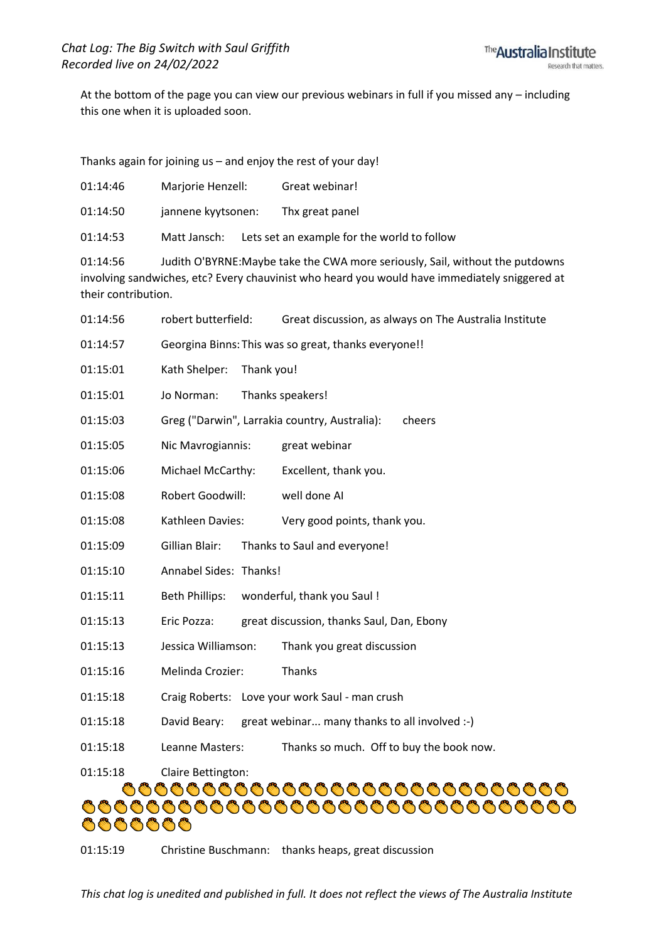At the bottom of the page you can view our previous webinars in full if you missed any – including this one when it is uploaded soon.

Thanks again for joining us – and enjoy the rest of your day!

| 01:14:46                        | Marjorie Henzell:                             | Great webinar!                                                                                                                                                                 |  |
|---------------------------------|-----------------------------------------------|--------------------------------------------------------------------------------------------------------------------------------------------------------------------------------|--|
| 01:14:50                        | jannene kyytsonen:                            | Thx great panel                                                                                                                                                                |  |
| 01:14:53                        | Matt Jansch:                                  | Lets set an example for the world to follow                                                                                                                                    |  |
| 01:14:56<br>their contribution. |                                               | Judith O'BYRNE: Maybe take the CWA more seriously, Sail, without the putdowns<br>involving sandwiches, etc? Every chauvinist who heard you would have immediately sniggered at |  |
| 01:14:56                        | robert butterfield:                           | Great discussion, as always on The Australia Institute                                                                                                                         |  |
| 01:14:57                        |                                               | Georgina Binns: This was so great, thanks everyone!!                                                                                                                           |  |
| 01:15:01                        | Thank you!<br>Kath Shelper:                   |                                                                                                                                                                                |  |
| 01:15:01                        | Jo Norman:                                    | Thanks speakers!                                                                                                                                                               |  |
| 01:15:03                        | Greg ("Darwin", Larrakia country, Australia): | cheers                                                                                                                                                                         |  |
| 01:15:05                        | Nic Mavrogiannis:                             | great webinar                                                                                                                                                                  |  |
| 01:15:06                        | Michael McCarthy:                             | Excellent, thank you.                                                                                                                                                          |  |
| 01:15:08                        | Robert Goodwill:                              | well done AI                                                                                                                                                                   |  |
| 01:15:08                        | Kathleen Davies:                              | Very good points, thank you.                                                                                                                                                   |  |
| 01:15:09                        | Gillian Blair:                                | Thanks to Saul and everyone!                                                                                                                                                   |  |
| 01:15:10                        | Annabel Sides: Thanks!                        |                                                                                                                                                                                |  |
| 01:15:11                        | Beth Phillips:                                | wonderful, thank you Saul !                                                                                                                                                    |  |
| 01:15:13                        | Eric Pozza:                                   | great discussion, thanks Saul, Dan, Ebony                                                                                                                                      |  |
| 01:15:13                        | Jessica Williamson:                           | Thank you great discussion                                                                                                                                                     |  |
| 01:15:16                        | Melinda Crozier:                              | Thanks                                                                                                                                                                         |  |
| 01:15:18                        |                                               | Craig Roberts: Love your work Saul - man crush                                                                                                                                 |  |
| 01:15:18                        | David Beary:                                  | great webinar many thanks to all involved :-)                                                                                                                                  |  |
| 01:15:18                        | Leanne Masters:                               | Thanks so much. Off to buy the book now.                                                                                                                                       |  |
| 01:15:18                        | Claire Bettington:                            |                                                                                                                                                                                |  |
| 66666                           |                                               |                                                                                                                                                                                |  |

01:15:19 Christine Buschmann: thanks heaps, great discussion